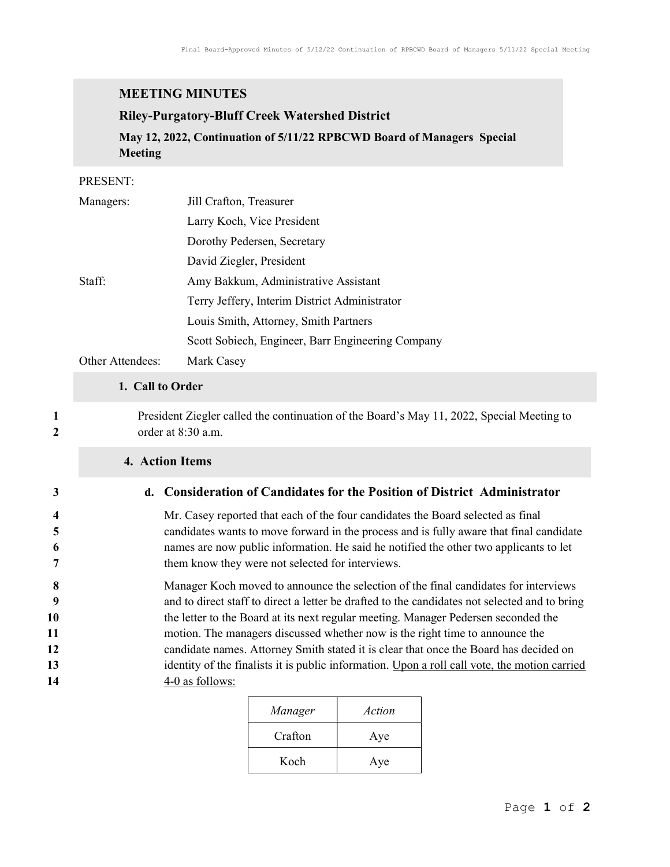## MEETING MINUTES

### Riley-Purgatory-Bluff Creek Watershed District

May 12, 2022, Continuation of 5/11/22 RPBCWD Board of Managers Special Meeting

#### PRESENT:

| Managers:        | Jill Crafton, Treasurer                           |  |
|------------------|---------------------------------------------------|--|
|                  | Larry Koch, Vice President                        |  |
|                  | Dorothy Pedersen, Secretary                       |  |
|                  | David Ziegler, President                          |  |
| Staff:           | Amy Bakkum, Administrative Assistant              |  |
|                  | Terry Jeffery, Interim District Administrator     |  |
|                  | Louis Smith, Attorney, Smith Partners             |  |
|                  | Scott Sobiech, Engineer, Barr Engineering Company |  |
| Other Attendees: | Mark Casey                                        |  |

### 1. Call to Order

1 President Ziegler called the continuation of the Board's May 11, 2022, Special Meeting to 2 order at 8:30 a.m.

### 4. Action Items

#### 3 d. Consideration of Candidates for the Position of District Administrator

Mr. Casey reported that each of the four candidates the Board selected as final candidates wants to move forward in the process and is fully aware that final candidate names are now public information. He said he notified the other two applicants to let them know they were not selected for interviews.

8 Manager Koch moved to announce the selection of the final candidates for interviews 9 and to direct staff to direct a letter be drafted to the candidates not selected and to bring 10 the letter to the Board at its next regular meeting. Manager Pedersen seconded the 11 motion. The managers discussed whether now is the right time to announce the 12 candidate names. Attorney Smith stated it is clear that once the Board has decided on 13 identity of the finalists it is public information. Upon a roll call vote, the motion carried 14 4-0 as follows:

| Manager | Action |
|---------|--------|
| Crafton | Aye    |
| Koch    | Aye    |